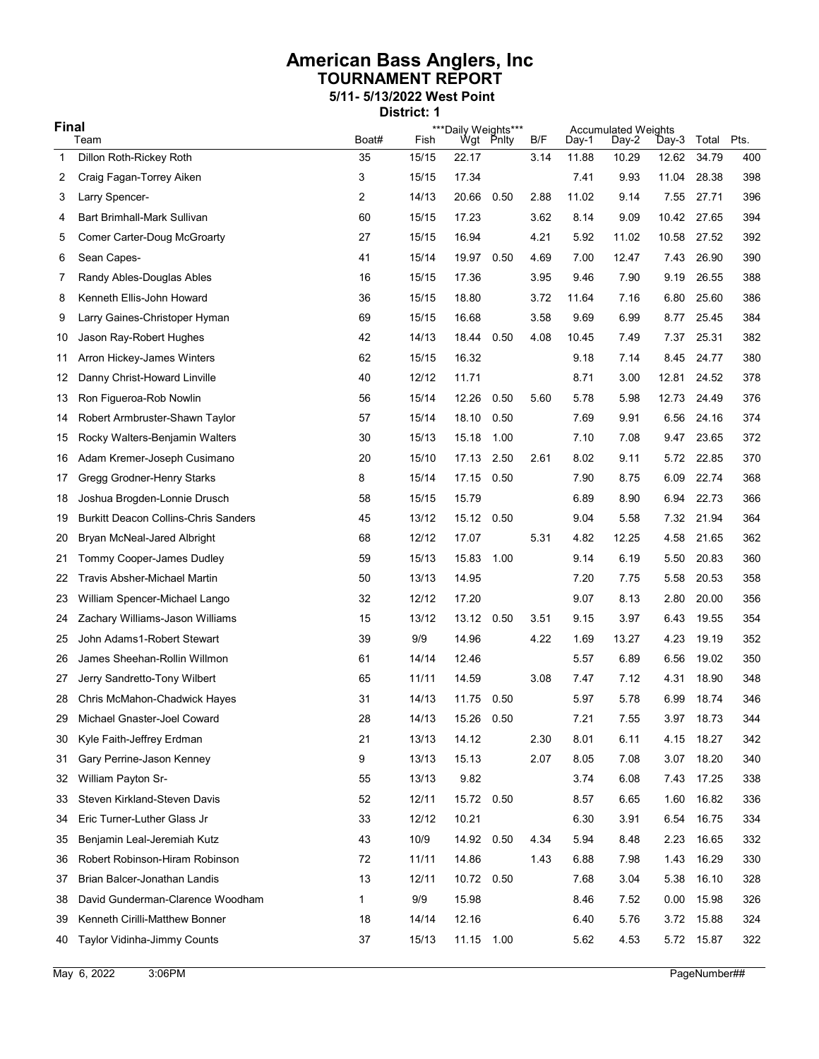## American Bass Anglers, Inc TOURNAMENT REPORT 5/11- 5/13/2022 West Point

District: 1

| <b>Final</b> |                                             |             | ***Daily Weights***<br>Wgt Pnlty |            |      | <b>Accumulated Weights</b> |                |                |                |                |             |
|--------------|---------------------------------------------|-------------|----------------------------------|------------|------|----------------------------|----------------|----------------|----------------|----------------|-------------|
| $\mathbf 1$  | Team<br>Dillon Roth-Rickey Roth             | Boat#<br>35 | Fish<br>15/15                    | 22.17      |      | B/F<br>3.14                | Day-1<br>11.88 | Day-2<br>10.29 | Day-3<br>12.62 | Total<br>34.79 | Pts.<br>400 |
| 2            | Craig Fagan-Torrey Aiken                    | 3           | 15/15                            | 17.34      |      |                            | 7.41           | 9.93           | 11.04          | 28.38          | 398         |
| 3            | Larry Spencer-                              | 2           | 14/13                            | 20.66      | 0.50 | 2.88                       | 11.02          | 9.14           | 7.55           | 27.71          | 396         |
| 4            | Bart Brimhall-Mark Sullivan                 | 60          | 15/15                            | 17.23      |      | 3.62                       | 8.14           | 9.09           | 10.42          | 27.65          | 394         |
| 5            | Comer Carter-Doug McGroarty                 | 27          | 15/15                            | 16.94      |      | 4.21                       | 5.92           | 11.02          | 10.58          | 27.52          | 392         |
| 6            | Sean Capes-                                 | 41          | 15/14                            | 19.97      | 0.50 | 4.69                       | 7.00           | 12.47          | 7.43           | 26.90          | 390         |
| 7            | Randy Ables-Douglas Ables                   | 16          | 15/15                            | 17.36      |      | 3.95                       | 9.46           | 7.90           | 9.19           | 26.55          | 388         |
| 8            | Kenneth Ellis-John Howard                   | 36          | 15/15                            | 18.80      |      | 3.72                       | 11.64          | 7.16           | 6.80           | 25.60          | 386         |
| 9            | Larry Gaines-Christoper Hyman               | 69          | 15/15                            | 16.68      |      | 3.58                       | 9.69           | 6.99           | 8.77           | 25.45          | 384         |
| 10           | Jason Ray-Robert Hughes                     | 42          | 14/13                            | 18.44      | 0.50 | 4.08                       | 10.45          | 7.49           | 7.37           | 25.31          | 382         |
| 11           | Arron Hickey-James Winters                  | 62          | 15/15                            | 16.32      |      |                            | 9.18           | 7.14           | 8.45           | 24.77          | 380         |
| 12           | Danny Christ-Howard Linville                | 40          | 12/12                            | 11.71      |      |                            | 8.71           | 3.00           | 12.81          | 24.52          | 378         |
| 13           | Ron Figueroa-Rob Nowlin                     | 56          | 15/14                            | 12.26      | 0.50 | 5.60                       | 5.78           | 5.98           | 12.73          | 24.49          | 376         |
| 14           | Robert Armbruster-Shawn Taylor              | 57          | 15/14                            | 18.10      | 0.50 |                            | 7.69           | 9.91           | 6.56           | 24.16          | 374         |
| 15           | Rocky Walters-Benjamin Walters              | 30          | 15/13                            | 15.18      | 1.00 |                            | 7.10           | 7.08           | 9.47           | 23.65          | 372         |
| 16           | Adam Kremer-Joseph Cusimano                 | 20          | 15/10                            | 17.13      | 2.50 | 2.61                       | 8.02           | 9.11           | 5.72           | 22.85          | 370         |
| 17           | Gregg Grodner-Henry Starks                  | 8           | 15/14                            | 17.15 0.50 |      |                            | 7.90           | 8.75           | 6.09           | 22.74          | 368         |
| 18           | Joshua Brogden-Lonnie Drusch                | 58          | 15/15                            | 15.79      |      |                            | 6.89           | 8.90           | 6.94           | 22.73          | 366         |
| 19           | <b>Burkitt Deacon Collins-Chris Sanders</b> | 45          | 13/12                            | 15.12 0.50 |      |                            | 9.04           | 5.58           | 7.32           | 21.94          | 364         |
| 20           | Bryan McNeal-Jared Albright                 | 68          | 12/12                            | 17.07      |      | 5.31                       | 4.82           | 12.25          | 4.58           | 21.65          | 362         |
| 21           | Tommy Cooper-James Dudley                   | 59          | 15/13                            | 15.83      | 1.00 |                            | 9.14           | 6.19           | 5.50           | 20.83          | 360         |
| 22           | <b>Travis Absher-Michael Martin</b>         | 50          | 13/13                            | 14.95      |      |                            | 7.20           | 7.75           | 5.58           | 20.53          | 358         |
| 23           | William Spencer-Michael Lango               | 32          | 12/12                            | 17.20      |      |                            | 9.07           | 8.13           | 2.80           | 20.00          | 356         |
| 24           | Zachary Williams-Jason Williams             | 15          | 13/12                            | 13.12      | 0.50 | 3.51                       | 9.15           | 3.97           | 6.43           | 19.55          | 354         |
| 25           | John Adams1-Robert Stewart                  | 39          | 9/9                              | 14.96      |      | 4.22                       | 1.69           | 13.27          | 4.23           | 19.19          | 352         |
| 26           | James Sheehan-Rollin Willmon                | 61          | 14/14                            | 12.46      |      |                            | 5.57           | 6.89           | 6.56           | 19.02          | 350         |
| 27           | Jerry Sandretto-Tony Wilbert                | 65          | 11/11                            | 14.59      |      | 3.08                       | 7.47           | 7.12           | 4.31           | 18.90          | 348         |
| 28           | Chris McMahon-Chadwick Hayes                | 31          | 14/13                            | 11.75      | 0.50 |                            | 5.97           | 5.78           | 6.99           | 18.74          | 346         |
| 29           | Michael Gnaster-Joel Coward                 | 28          | 14/13                            | 15.26 0.50 |      |                            | 7.21           | 7.55           | 3.97           | 18.73          | 344         |
| 30           | Kyle Faith-Jeffrey Erdman                   | 21          | 13/13                            | 14.12      |      | 2.30                       | 8.01           | 6.11           | 4.15           | 18.27          | 342         |
| 31           | Gary Perrine-Jason Kenney                   | 9           | 13/13                            | 15.13      |      | 2.07                       | 8.05           | 7.08           | 3.07           | 18.20          | 340         |
| 32           | William Payton Sr-                          | 55          | 13/13                            | 9.82       |      |                            | 3.74           | 6.08           | 7.43           | 17.25          | 338         |
| 33           | Steven Kirkland-Steven Davis                | 52          | 12/11                            | 15.72 0.50 |      |                            | 8.57           | 6.65           | 1.60           | 16.82          | 336         |
| 34           | Eric Turner-Luther Glass Jr                 | 33          | 12/12                            | 10.21      |      |                            | 6.30           | 3.91           | 6.54           | 16.75          | 334         |
| 35           | Benjamin Leal-Jeremiah Kutz                 | 43          | 10/9                             | 14.92 0.50 |      | 4.34                       | 5.94           | 8.48           | 2.23           | 16.65          | 332         |
| 36           | Robert Robinson-Hiram Robinson              | 72          | 11/11                            | 14.86      |      | 1.43                       | 6.88           | 7.98           | 1.43           | 16.29          | 330         |
| 37           | Brian Balcer-Jonathan Landis                | 13          | 12/11                            | 10.72 0.50 |      |                            | 7.68           | 3.04           | 5.38           | 16.10          | 328         |
| 38           | David Gunderman-Clarence Woodham            | 1           | 9/9                              | 15.98      |      |                            | 8.46           | 7.52           | 0.00           | 15.98          | 326         |
| 39           | Kenneth Cirilli-Matthew Bonner              | 18          | 14/14                            | 12.16      |      |                            | 6.40           | 5.76           | 3.72           | 15.88          | 324         |
| 40           | Taylor Vidinha-Jimmy Counts                 | 37          | 15/13                            | 11.15 1.00 |      |                            | 5.62           | 4.53           |                | 5.72 15.87     | 322         |